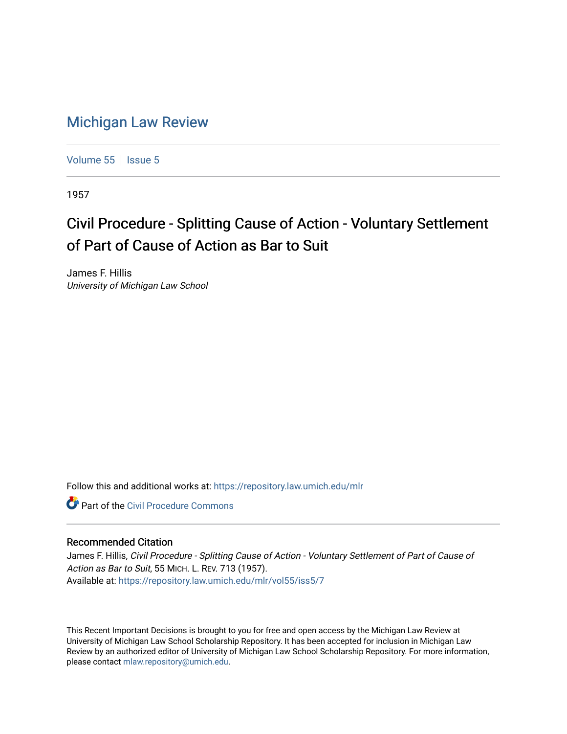## [Michigan Law Review](https://repository.law.umich.edu/mlr)

[Volume 55](https://repository.law.umich.edu/mlr/vol55) | [Issue 5](https://repository.law.umich.edu/mlr/vol55/iss5)

1957

## Civil Procedure - Splitting Cause of Action - Voluntary Settlement of Part of Cause of Action as Bar to Suit

James F. Hillis University of Michigan Law School

Follow this and additional works at: [https://repository.law.umich.edu/mlr](https://repository.law.umich.edu/mlr?utm_source=repository.law.umich.edu%2Fmlr%2Fvol55%2Fiss5%2F7&utm_medium=PDF&utm_campaign=PDFCoverPages) 

**C** Part of the Civil Procedure Commons

## Recommended Citation

James F. Hillis, Civil Procedure - Splitting Cause of Action - Voluntary Settlement of Part of Cause of Action as Bar to Suit, 55 MICH. L. REV. 713 (1957). Available at: [https://repository.law.umich.edu/mlr/vol55/iss5/7](https://repository.law.umich.edu/mlr/vol55/iss5/7?utm_source=repository.law.umich.edu%2Fmlr%2Fvol55%2Fiss5%2F7&utm_medium=PDF&utm_campaign=PDFCoverPages)

This Recent Important Decisions is brought to you for free and open access by the Michigan Law Review at University of Michigan Law School Scholarship Repository. It has been accepted for inclusion in Michigan Law Review by an authorized editor of University of Michigan Law School Scholarship Repository. For more information, please contact [mlaw.repository@umich.edu.](mailto:mlaw.repository@umich.edu)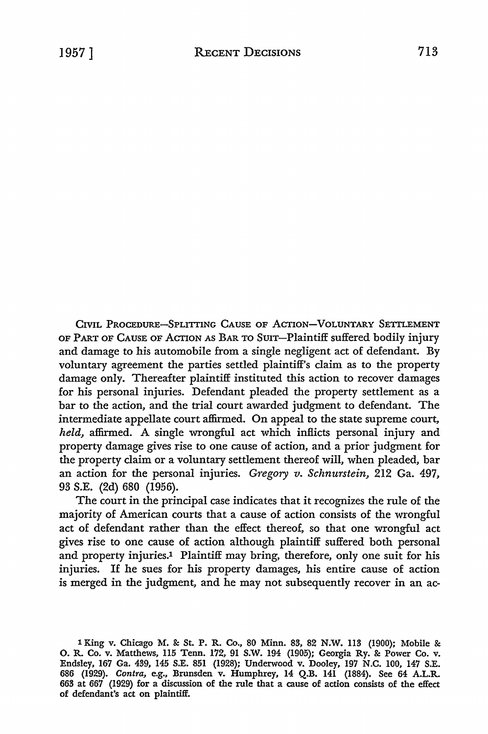CIVIL PROCEDURE-SPLITTING CAUSE OF ACTION-VOLUNTARY SETTLEMENT OF PART OF CAUSE OF ACTION As BAR TO SUIT-Plaintiff suffered bodily injury and damage to his automobile from a single negligent act of defendant. By voluntary agreement the parties settled plaintiff's claim as to the property damage only. Thereafter plaintiff instituted this action to recover damages for his personal injuries. Defendant pleaded the property settlement as a bar to the action, and the trial court awarded judgment to defendant. The intermediate appellate court affirmed. On appeal to the state supreme court, *held,* affirmed. A single wrongful act which inflicts personal injury and property damage gives rise to one cause of action, and a prior judgment for the property claim or a voluntary settlement thereof will, when pleaded, bar an action for the personal injuries. *Gregory v. Schnurstein,* 212 Ga. 497, 93 S.E. (2d) 680 (1956).

The court in the principal case indicates that it recognizes the rule of the majority of American courts that a cause of action consists of the wrongful act of defendant rather than the effect thereof, so that one wrongful act gives rise to one cause of action although plaintiff suffered both personal and property injuries.<sup>1</sup> Plaintiff may bring, therefore, only one suit for his injuries. If he sues for his property damages, his entire cause of action is merged in the judgment, and he may not subsequently recover in an ac-

<sup>1</sup> King v. Chicago M. & St. P. R. Co., 80 Minn. 83, 82 N.W. 113 (1900); Mobile & 0. R. Co. v. Matthews, ll5 Tenn. 172, 91 S.W. 194 (1905); Georgia Ry. &: Power Co. v. Endsley, 167 Ga. 439, 145 S.E. 851 (1928); Underwood v. Dooley, 197 N.C. 100, 147 S.E. 686 (1929). *Contra,* e.g., Brunsden v. Humphrey, 14 Q.B. 141 (1884). See 64 A.L.R. 663 at 667 (1929) for a discussion of the rule that a cause of action consists of the effect of defendant's act on plaintiff.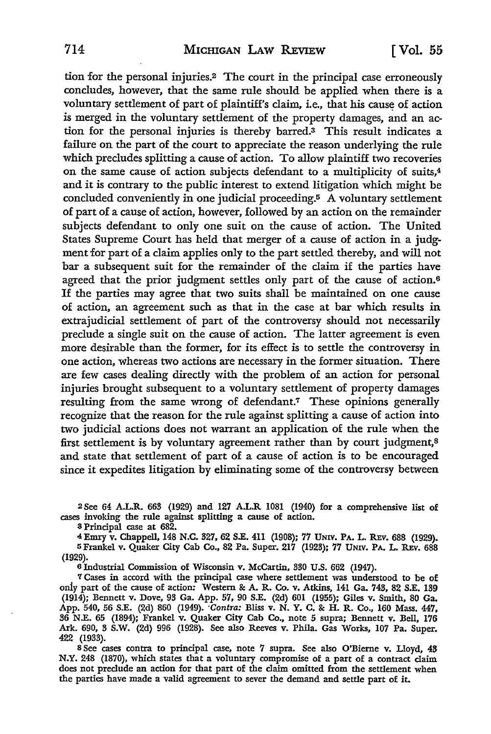tion for the personal injuries.2 The court in the principal case erroneously concludes, however, that the same rule should be applied when there is a voluntary settlement of part of plaintiff's claim, i.e., that his cause of action is merged in the voluntary settlement of the property damages, and an action for the personal injuries is thereby barred.3 This result indicates a failure on the part of the court to appreciate the reason underlying the rule which precludes splitting a cause of action. To allow plaintiff two recoveries on the same cause of action subjects defendant to a multiplicity of suits,<sup>4</sup> and it is contrary to the public interest to extend litigation which might be concluded conveniently in one judicial proceeding.5 A voluntary settlement of part of a cause of action, however, followed by an action on the remainder subjects defendant to only one suit on the cause of action. The United States Supreme Court has held that merger of a cause of action in a judgment for part of a claim applies only to the part settled thereby, and will not bar a subsequent suit for the remainder of the claim if the parties have agreed that the prior judgment settles only part of the cause of action.<sup>6</sup> If the parties may agree that two suits shall be maintained on one cause of action, an agreement such as that in the case at bar which results in extrajudicial settlement of part of the controversy should not necessarily preclude a single suit on the cause of action. The latter agreement is even more desirable than the former, for its effect is to settle the controversy in one action, whereas two actions are necessary in the former situation. There are few cases dealing directly with the problem of an action for personal injuries brought subsequent to a voluntary settlement of property damages resulting from the same wrong of defendant.7 These opinions generally recognize that the reason for the rule against splitting a cause of action into two judicial actions does not warrant an application of the rule when the first settlement is by voluntary agreement rather than by court judgment,<sup>8</sup> and state that settlement of part of a cause of action is to be encouraged since it expedites litigation by eliminating some of the controversy between

<sup>2</sup>See 64 A.L.R. 663 (1929) and 127 A.L.R 1081 (1940) for a comprehensive list of cases invoking the rule against splitting a cause of action.

<sup>8</sup>Principal case at 682.

4Emry v. Chappell, 148 N.C. 327, 62 S.E. 411 (1908); 77 UNIV. PA. L. REv. 688 (1929), 5Frankel v. Quaker City Cab Co., 82 Pa. Super. 217 (1923); 77 UNIV. PA. L. R.Ev. 688 (1929).

6 Industrial Commission of Wisconsin v. McCartin, 330 U.S. 662 (1947).

7 Cases in accord with the principal case where settlement was understood to be of only part of the cause of action: Western & A. R. Co. v. Atkins, 141 Ga. 743, 82 S.E. 139 (1914); Bennett v. Dove, 93 Ga. App. 57, 90 S.E. (2d) 601 (1955); Giles v. Smith, 80 Ga. App. 540, 56 S.E. (2d) 860 (1949). *·Contra:* Bliss v. N. Y. C. & H. R. Co., 160 Mass. 447, 36 N.E. 65 (1894); Frankel v. Quaker City Cab Co., note 5 supra; Bennett v. Bell, 176 Ark. 690, 3 S.W. (2d) 996 (1928). See also Reeves v. Phila. Gas Works, 107 Pa. Super. 422 (1933).

s See cases contra to principal case, note 7 supra. See also O'Bieme v. Lloyd, 43 N.Y. 248 (1870), which states that a voluntary compromise of a part of a contract claim does not preclude an action for that part of the claim omitted from the settlement when the parties have made a valid agreement to sever the demand and settle part of it.